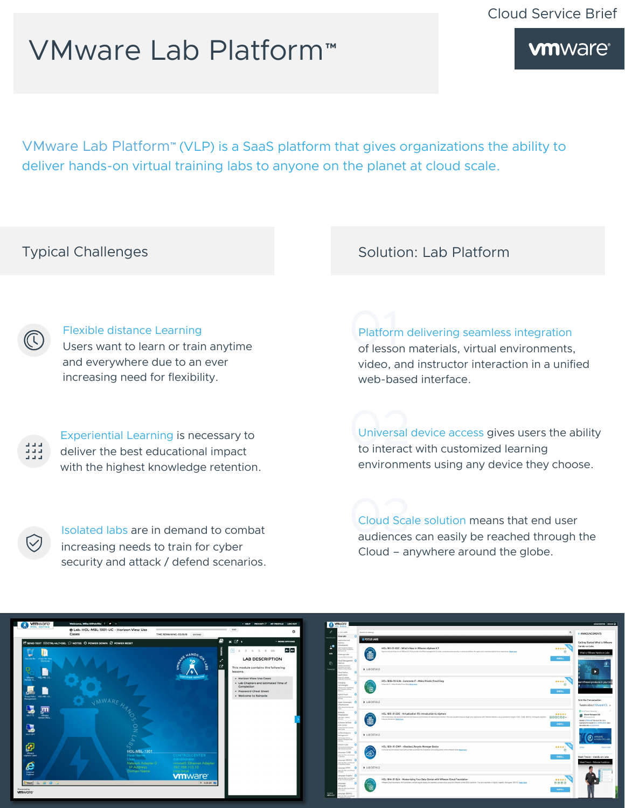# VMware Lab Platform™

**vmware**®

VMware Lab Platform™ (VLP) is a SaaS platform that gives organizations the ability to deliver hands-on virtual training labs to anyone on the planet at cloud scale.

## Typical Challenges

### Flexible distance Learning Users want to learn or train anytime and everywhere due to an ever increasing need for flexibility.

Experiential Learning is necessary to deliver the best educational impact with the highest knowledge retention.

Isolated labs are in demand to combat increasing needs to train for cyber security and attack / defend scenarios. Solution: Lab Platform

Platform delivering seamless integration of lesson materials, virtual environments, video, and instructor interaction in a unified web-based interface.

Universal device access gives users the ability to interact with customized learning environments using any device they choose.

03Cloud Scale solution means that end user audiences can easily be reached through the Cloud – anywhere around the globe.